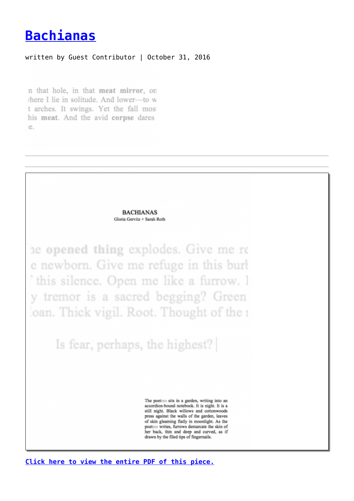## **[Bachianas](https://entropymag.org/bachianas/)**

## written by Guest Contributor | October 31, 2016

n that hole, in that meat mirror, on there I lie in solitude. And lower—to w t arches. It swings. Yet the fall most his meat. And the avid corpse dares :e.



**[Click here to view the entire PDF of this piece.](https://entropymag.org/wp-content/uploads/2016/10/BACHIANAS.pdf)**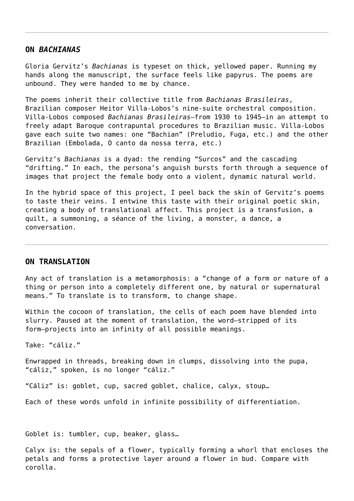## **ON** *BACHIANAS*

Gloria Gervitz's *Bachianas* is typeset on thick, yellowed paper. Running my hands along the manuscript, the surface feels like papyrus. The poems are unbound. They were handed to me by chance.

The poems inherit their collective title from *Bachianas Brasileiras*, Brazilian composer Heitor Villa-Lobos's nine-suite orchestral composition. Villa-Lobos composed *Bachianas Brasileiras*—from 1930 to 1945—in an attempt to freely adapt Baroque contrapuntal procedures to Brazilian music. Villa-Lobos gave each suite two names: one "Bachian" (Preludio, Fuga, etc.) and the other Brazilian (Embolada, O canto da nossa terra, etc.)

Gervitz's *Bachianas* is a dyad: the rending "Surcos" and the cascading "drifting." In each, the persona's anguish bursts forth through a sequence of images that project the female body onto a violent, dynamic natural world.

In the hybrid space of this project, I peel back the skin of Gervitz's poems to taste their veins. I entwine this taste with their original poetic skin, creating a body of translational affect. This project is a transfusion, a quilt, a summoning, a séance of the living, a monster, a dance, a conversation.

## **ON TRANSLATION**

Any act of translation is a metamorphosis: a "change of a form or nature of a thing or person into a completely different one, by natural or supernatural means." To translate is to transform, to change shape.

Within the cocoon of translation, the cells of each poem have blended into slurry. Paused at the moment of translation, the word—stripped of its form—projects into an infinity of all possible meanings.

Take: "cáliz."

Enwrapped in threads, breaking down in clumps, dissolving into the pupa, "cáliz," spoken, is no longer "cáliz."

"Cáliz" is: goblet, cup, sacred goblet, chalice, calyx, stoup…

Each of these words unfold in infinite possibility of differentiation.

Goblet is: tumbler, cup, beaker, glass…

Calyx is: the sepals of a flower, typically forming a whorl that encloses the petals and forms a protective layer around a flower in bud. Compare with corolla.